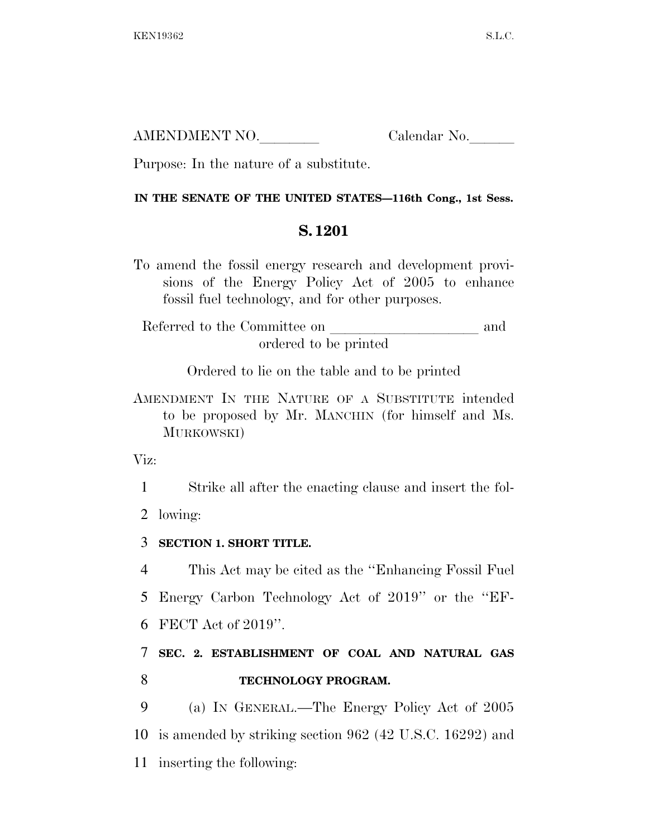| AMENDMENT NO. | Calendar No. |
|---------------|--------------|
|               |              |

Purpose: In the nature of a substitute.

## **IN THE SENATE OF THE UNITED STATES—116th Cong., 1st Sess.**

## **S. 1201**

To amend the fossil energy research and development provisions of the Energy Policy Act of 2005 to enhance fossil fuel technology, and for other purposes.

Referred to the Committee on and ordered to be printed

Ordered to lie on the table and to be printed

AMENDMENT IN THE NATURE OF A SUBSTITUTE intended to be proposed by Mr. MANCHIN (for himself and Ms. MURKOWSKI)

Viz:

1 Strike all after the enacting clause and insert the fol-

2 lowing:

3 **SECTION 1. SHORT TITLE.** 

4 This Act may be cited as the ''Enhancing Fossil Fuel

5 Energy Carbon Technology Act of 2019'' or the ''EF-

6 FECT Act of 2019''.

## 7 **SEC. 2. ESTABLISHMENT OF COAL AND NATURAL GAS**  8 **TECHNOLOGY PROGRAM.**

9 (a) IN GENERAL.—The Energy Policy Act of 2005 10 is amended by striking section 962 (42 U.S.C. 16292) and 11 inserting the following: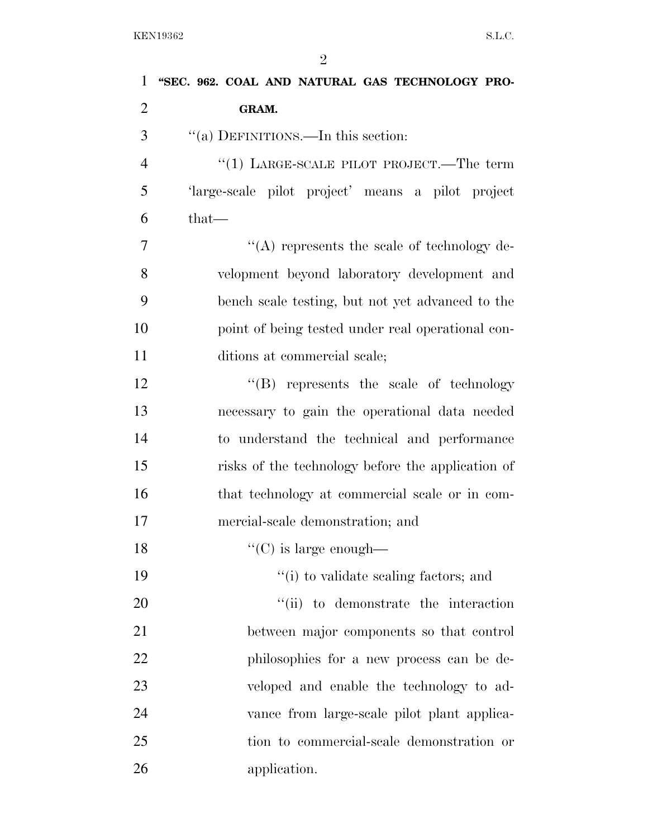| $\mathbf{1}$   | "SEC. 962. COAL AND NATURAL GAS TECHNOLOGY PRO-   |
|----------------|---------------------------------------------------|
| $\overline{2}$ | GRAM.                                             |
| 3              | "(a) DEFINITIONS.—In this section:                |
| $\overline{4}$ | "(1) LARGE-SCALE PILOT PROJECT.—The term          |
| 5              | 'large-scale pilot project' means a pilot project |
| 6              | that-                                             |
| 7              | $\lq\lq$ represents the scale of technology de-   |
| 8              | velopment beyond laboratory development and       |
| 9              | bench scale testing, but not yet advanced to the  |
| 10             | point of being tested under real operational con- |
| 11             | ditions at commercial scale;                      |
| 12             | "(B) represents the scale of technology           |
| 13             | necessary to gain the operational data needed     |
| 14             | to understand the technical and performance       |
| 15             | risks of the technology before the application of |
| 16             | that technology at commercial scale or in com-    |
| 17             | mercial-scale demonstration; and                  |
| 18             | $\lq\lq$ (C) is large enough—                     |
| 19             | "(i) to validate scaling factors; and             |
| 20             | "(ii) to demonstrate the interaction              |
| 21             | between major components so that control          |
| 22             | philosophies for a new process can be de-         |
| 23             | veloped and enable the technology to ad-          |
| 24             | vance from large-scale pilot plant applica-       |
| 25             | tion to commercial-scale demonstration or         |
| 26             | application.                                      |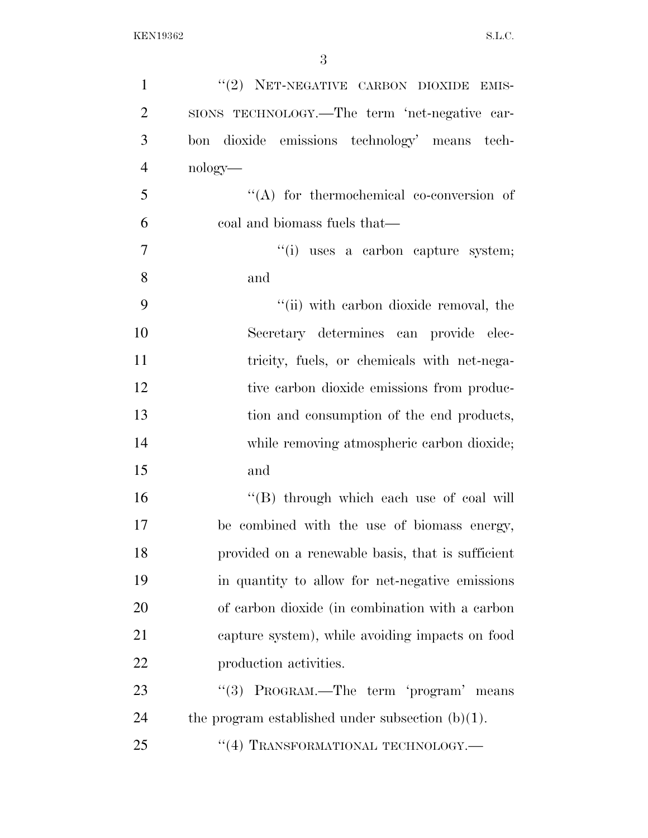| $\mathbf{1}$   | "(2) NET-NEGATIVE CARBON DIOXIDE EMIS-              |
|----------------|-----------------------------------------------------|
| $\overline{2}$ | SIONS TECHNOLOGY.—The term 'net-negative car-       |
| 3              | bon dioxide emissions technology' means tech-       |
| $\overline{4}$ | $nology$ —                                          |
| 5              | $\lq\lq$ for thermochemical co-conversion of        |
| 6              | coal and biomass fuels that—                        |
| $\overline{7}$ | "(i) uses a carbon capture system;                  |
| 8              | and                                                 |
| 9              | "(ii) with carbon dioxide removal, the              |
| 10             | Secretary determines can provide elec-              |
| 11             | tricity, fuels, or chemicals with net-nega-         |
| 12             | tive carbon dioxide emissions from produc-          |
| 13             | tion and consumption of the end products,           |
| 14             | while removing atmospheric carbon dioxide;          |
| 15             | and                                                 |
| 16             | "(B) through which each use of coal will            |
| 17             | be combined with the use of biomass energy,         |
| 18             | provided on a renewable basis, that is sufficient   |
| 19             | in quantity to allow for net-negative emissions     |
| 20             | of carbon dioxide (in combination with a carbon     |
| 21             | capture system), while avoiding impacts on food     |
| 22             | production activities.                              |
| 23             | PROGRAM.—The term 'program' means<br>(3)            |
| 24             | the program established under subsection $(b)(1)$ . |
| 25             | "(4) TRANSFORMATIONAL TECHNOLOGY.-                  |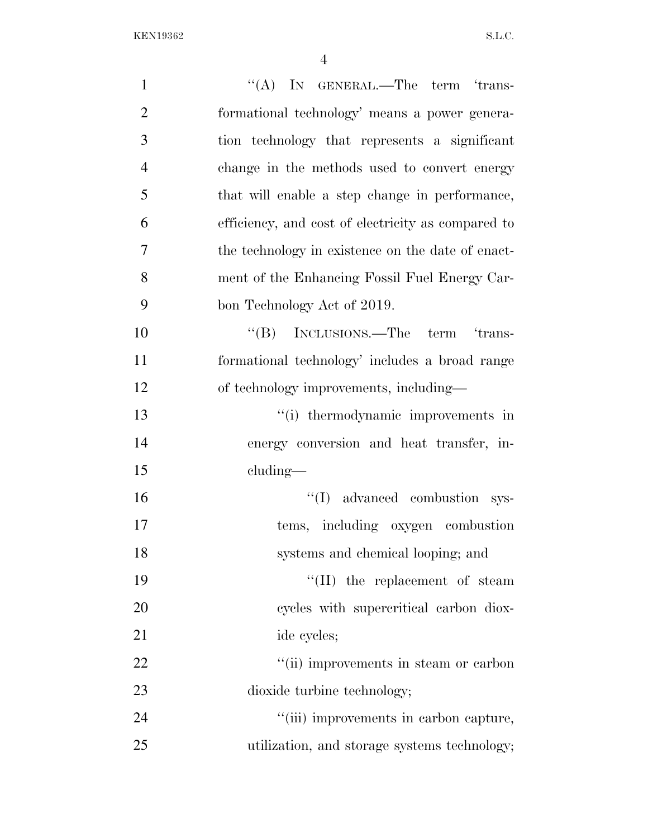| $\mathbf{1}$   | $\lq\lq$ (A) IN GENERAL.—The term 'trans-          |
|----------------|----------------------------------------------------|
| $\overline{2}$ | formational technology' means a power genera-      |
| 3              | tion technology that represents a significant      |
| $\overline{4}$ | change in the methods used to convert energy       |
| 5              | that will enable a step change in performance,     |
| 6              | efficiency, and cost of electricity as compared to |
| 7              | the technology in existence on the date of enact-  |
| 8              | ment of the Enhancing Fossil Fuel Energy Car-      |
| 9              | bon Technology Act of 2019.                        |
| 10             | "(B) INCLUSIONS.—The term 'trans-                  |
| 11             | formational technology' includes a broad range     |
| 12             | of technology improvements, including-             |
| 13             | "(i) thermodynamic improvements in                 |
| 14             | energy conversion and heat transfer, in-           |
| 15             | $cluding$ —                                        |
| 16             | $\lq\lq$ advanced combustion sys-                  |
| 17             | tems, including oxygen combustion                  |
| 18             | systems and chemical looping; and                  |
| 19             | $``(II)$ the replacement of steam                  |
| 20             | cycles with supercritical carbon diox-             |
| 21             | ide cycles;                                        |
| 22             | "(ii) improvements in steam or carbon              |
| 23             | dioxide turbine technology;                        |
| 24             | "(iii) improvements in carbon capture,             |
| 25             | utilization, and storage systems technology;       |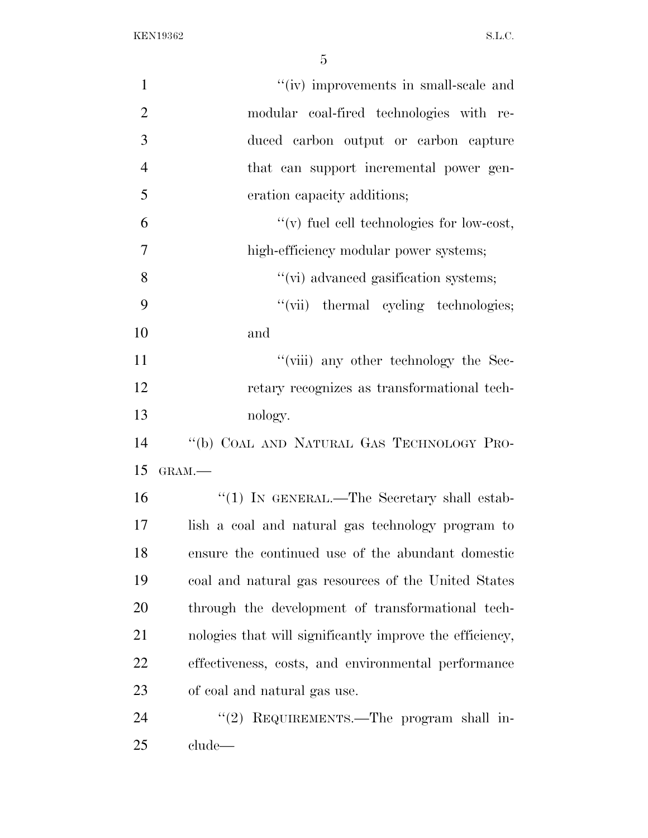| $\mathbf{1}$   | "(iv) improvements in small-scale and                    |
|----------------|----------------------------------------------------------|
| $\overline{2}$ | modular coal-fired technologies with re-                 |
| 3              | duced carbon output or carbon capture                    |
| $\overline{4}$ | that can support incremental power gen-                  |
| 5              | eration capacity additions;                              |
| 6              | $\lq\lq$ fuel cell technologies for low-cost,            |
| 7              | high-efficiency modular power systems;                   |
| 8              | "(vi) advanced gasification systems;                     |
| 9              | "(vii) thermal cycling technologies;                     |
| 10             | and                                                      |
| 11             | "(viii) any other technology the Sec-                    |
| 12             | retary recognizes as transformational tech-              |
| 13             | nology.                                                  |
| 14             | "(b) COAL AND NATURAL GAS TECHNOLOGY PRO-                |
| 15             | GRAM.-                                                   |
| 16             | "(1) IN GENERAL.—The Secretary shall estab-              |
| 17             | lish a coal and natural gas technology program to        |
| 18             | ensure the continued use of the abundant domestic        |
| 19             | coal and natural gas resources of the United States      |
| 20             | through the development of transformational tech-        |
| 21             | nologies that will significantly improve the efficiency, |
| 22             | effectiveness, costs, and environmental performance      |
| 23             | of coal and natural gas use.                             |
| 24             | "(2) REQUIREMENTS.—The program shall in-                 |
| 25             | clude                                                    |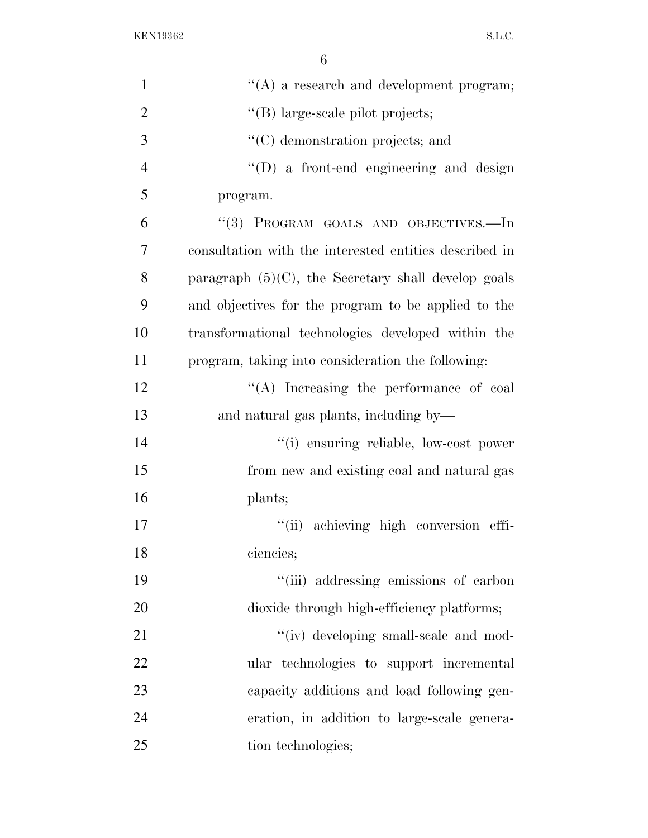| $\mathbf{1}$   | $\lq\lq$ a research and development program;           |
|----------------|--------------------------------------------------------|
| $\overline{2}$ | "(B) large-scale pilot projects;                       |
| 3              | "(C) demonstration projects; and                       |
| $\overline{4}$ | $\lq\lq$ (D) a front-end engineering and design        |
| 5              | program.                                               |
| 6              | "(3) PROGRAM GOALS AND OBJECTIVES.—In                  |
| $\overline{7}$ | consultation with the interested entities described in |
| 8              | paragraph $(5)(C)$ , the Secretary shall develop goals |
| 9              | and objectives for the program to be applied to the    |
| 10             | transformational technologies developed within the     |
| 11             | program, taking into consideration the following:      |
| 12             | "(A) Increasing the performance of coal                |
| 13             | and natural gas plants, including by—                  |
| 14             | "(i) ensuring reliable, low-cost power                 |
| 15             | from new and existing coal and natural gas             |
| 16             | plants;                                                |
| 17             | "(ii) achieving high conversion effi-                  |
| 18             | ciencies;                                              |
| 19             | "(iii) addressing emissions of carbon                  |
| 20             | dioxide through high-efficiency platforms;             |
| 21             | "(iv) developing small-scale and mod-                  |
| 22             | ular technologies to support incremental               |
| 23             | capacity additions and load following gen-             |
| 24             | eration, in addition to large-scale genera-            |
| 25             | tion technologies;                                     |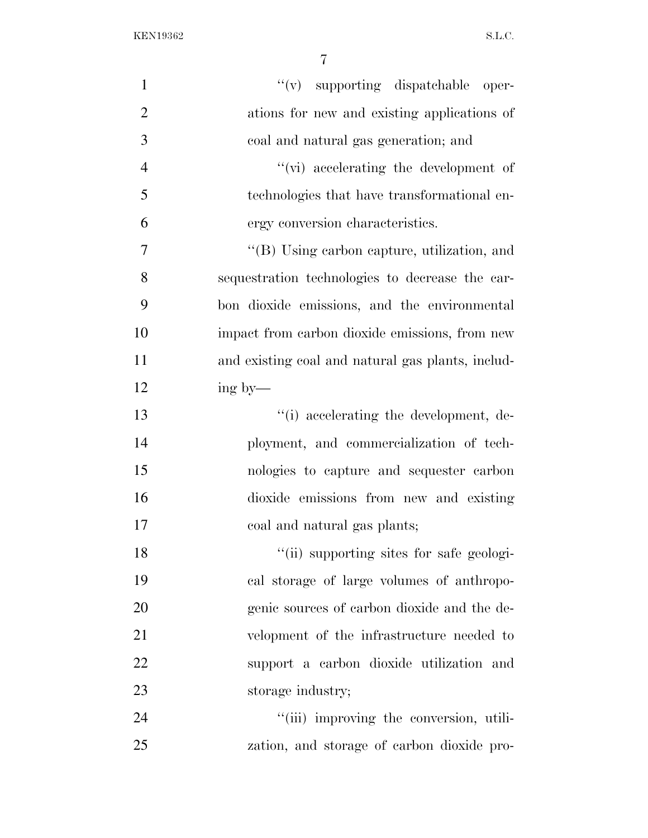| $\mathbf{1}$   | $``(v)$ supporting dispatchable oper-             |
|----------------|---------------------------------------------------|
| $\overline{2}$ | ations for new and existing applications of       |
| 3              | coal and natural gas generation; and              |
| $\overline{4}$ | $\lq\lq$ (vi) accelerating the development of     |
| 5              | technologies that have transformational en-       |
| 6              | ergy conversion characteristics.                  |
| $\overline{7}$ | "(B) Using carbon capture, utilization, and       |
| 8              | sequestration technologies to decrease the car-   |
| 9              | bon dioxide emissions, and the environmental      |
| 10             | impact from carbon dioxide emissions, from new    |
| 11             | and existing coal and natural gas plants, includ- |
| 12             | ing by—                                           |
| 13             | "(i) accelerating the development, de-            |
| 14             | ployment, and commercialization of tech-          |
| 15             | nologies to capture and sequester carbon          |
| 16             | dioxide emissions from new and existing           |
| 17             | coal and natural gas plants;                      |
| 18             | "(ii) supporting sites for safe geologi-          |
| 19             | cal storage of large volumes of anthropo-         |
| 20             | genic sources of carbon dioxide and the de-       |
| 21             | velopment of the infrastructure needed to         |
| 22             | support a carbon dioxide utilization and          |
| 23             | storage industry;                                 |
| 24             | "(iii) improving the conversion, utili-           |
| 25             | zation, and storage of carbon dioxide pro-        |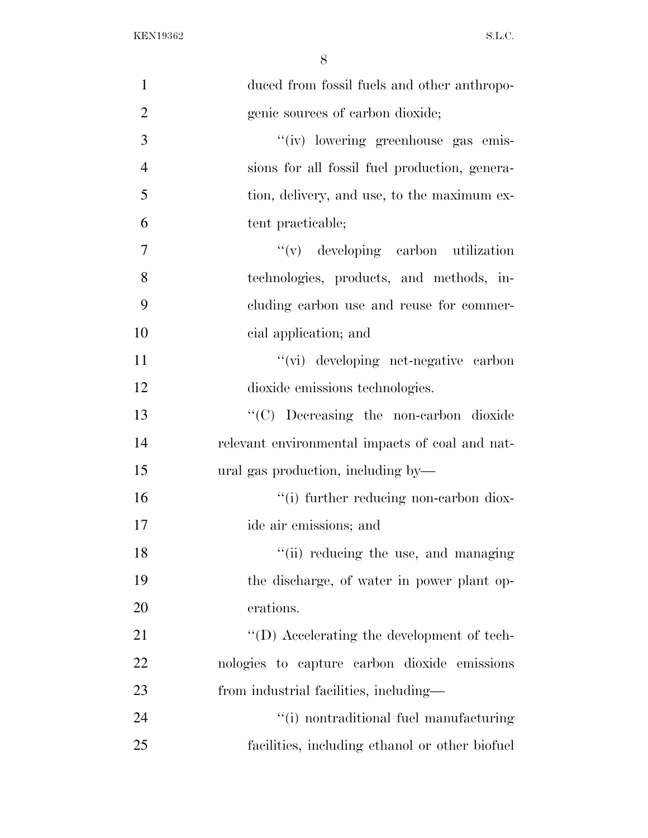| $\mathbf{1}$   | duced from fossil fuels and other anthropo-      |
|----------------|--------------------------------------------------|
| $\overline{2}$ | genic sources of carbon dioxide;                 |
| 3              | "(iv) lowering greenhouse gas emis-              |
| $\overline{4}$ | sions for all fossil fuel production, genera-    |
| 5              | tion, delivery, and use, to the maximum ex-      |
| 6              | tent practicable;                                |
| 7              | $f'(v)$ developing carbon utilization            |
| 8              | technologies, products, and methods, in-         |
| 9              | cluding carbon use and reuse for commer-         |
| 10             | cial application; and                            |
| 11             | "(vi) developing net-negative carbon             |
| 12             | dioxide emissions technologies.                  |
| 13             | "(C) Decreasing the non-carbon dioxide           |
| 14             | relevant environmental impacts of coal and nat-  |
| 15             | ural gas production, including by—               |
| 16             | "(i) further reducing non-carbon diox-           |
| 17             | ide air emissions; and                           |
| 18             | "(ii) reducing the use, and managing             |
| 19             | the discharge, of water in power plant op-       |
| 20             | erations.                                        |
| 21             | $\lq\lq$ . Accelerating the development of tech- |
| 22             | nologies to capture carbon dioxide emissions     |
| 23             | from industrial facilities, including—           |
| 24             | "(i) nontraditional fuel manufacturing           |
| 25             | facilities, including ethanol or other biofuel   |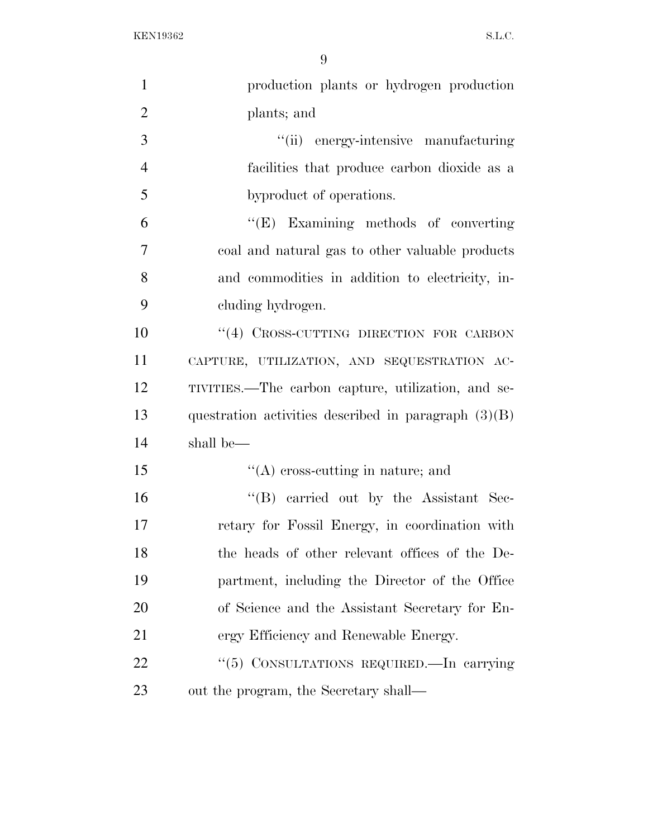| $\mathbf{1}$   | production plants or hydrogen production               |
|----------------|--------------------------------------------------------|
| $\overline{2}$ | plants; and                                            |
| 3              | "(ii) energy-intensive manufacturing                   |
| $\overline{4}$ | facilities that produce carbon dioxide as a            |
| 5              | byproduct of operations.                               |
| 6              | "(E) Examining methods of converting                   |
| $\tau$         | coal and natural gas to other valuable products        |
| 8              | and commodities in addition to electricity, in-        |
| 9              | cluding hydrogen.                                      |
| 10             | "(4) CROSS-CUTTING DIRECTION FOR CARBON                |
| 11             | CAPTURE, UTILIZATION, AND SEQUESTRATION AC-            |
| 12             | TIVITIES.—The carbon capture, utilization, and se-     |
| 13             | questration activities described in paragraph $(3)(B)$ |
| 14             | shall be—                                              |
| 15             | $\lq\lq$ cross-cutting in nature; and                  |
| 16             | "(B) carried out by the Assistant Sec-                 |
| 17             | retary for Fossil Energy, in coordination with         |
| 18             | the heads of other relevant offices of the De-         |
| 19             | partment, including the Director of the Office         |
| 20             | of Science and the Assistant Secretary for En-         |
| 21             | ergy Efficiency and Renewable Energy.                  |
| 22             | "(5) CONSULTATIONS REQUIRED.—In carrying               |
| 23             | out the program, the Secretary shall—                  |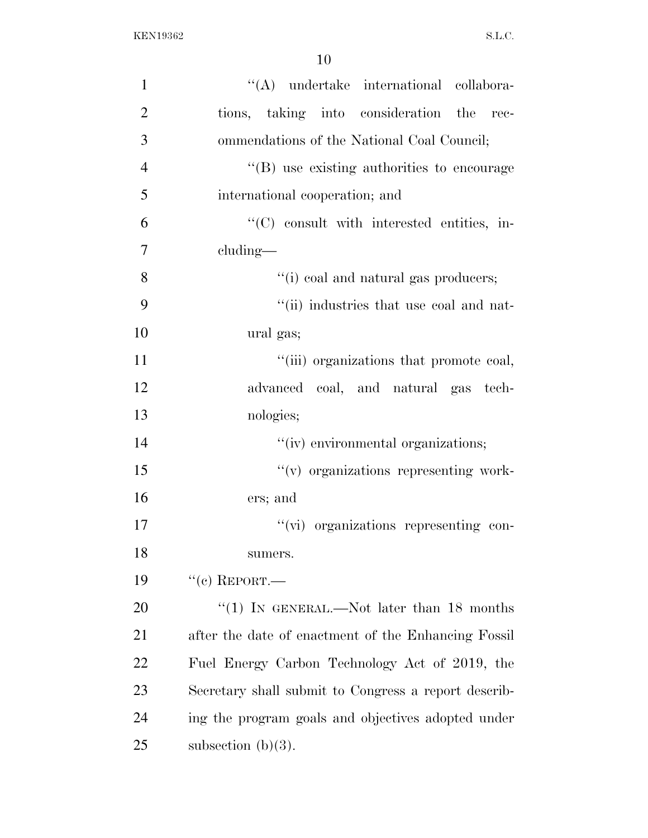| 1              | "(A) undertake international collabora-              |
|----------------|------------------------------------------------------|
| $\overline{2}$ | tions, taking into consideration the rec-            |
| 3              | ommendations of the National Coal Council;           |
| $\overline{4}$ | "(B) use existing authorities to encourage           |
| 5              | international cooperation; and                       |
| 6              | $\lq\lq$ consult with interested entities, in-       |
| 7              | cluding—                                             |
| 8              | "(i) coal and natural gas producers;                 |
| 9              | "(ii) industries that use coal and nat-              |
| 10             | ural gas;                                            |
| 11             | "(iii) organizations that promote coal,              |
| 12             | advanced coal, and natural gas tech-                 |
| 13             | nologies;                                            |
| 14             | "(iv) environmental organizations;                   |
| 15             | "(v) organizations representing work-                |
| 16             | ers; and                                             |
| 17             | "(vi) organizations representing con-                |
| 18             | sumers.                                              |
| 19             | $``$ (c) REPORT.—                                    |
| 20             | "(1) IN GENERAL.—Not later than 18 months            |
| 21             | after the date of enactment of the Enhancing Fossil  |
| 22             | Fuel Energy Carbon Technology Act of 2019, the       |
| 23             | Secretary shall submit to Congress a report describ- |
| 24             | ing the program goals and objectives adopted under   |
| 25             | subsection $(b)(3)$ .                                |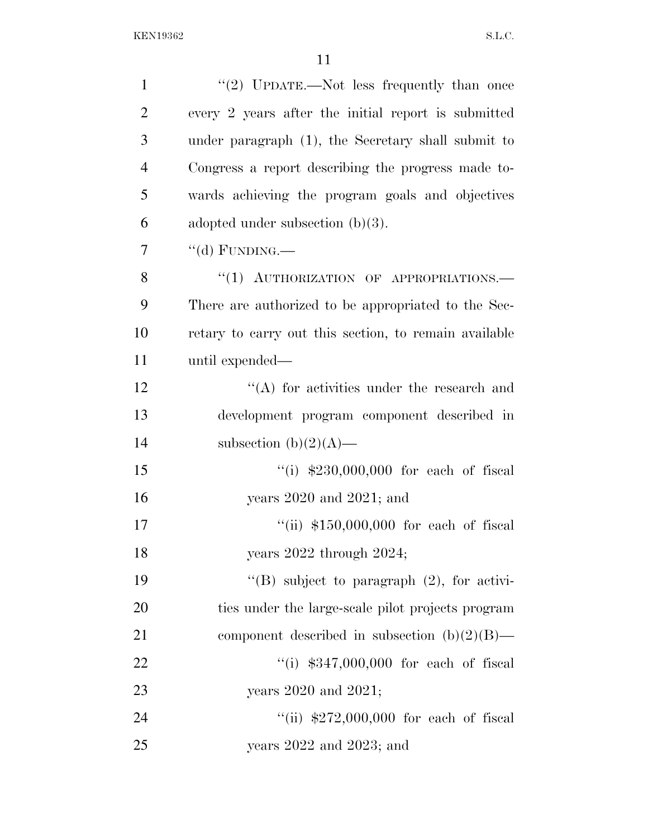| $\mathbf{1}$   | "(2) UPDATE.—Not less frequently than once            |
|----------------|-------------------------------------------------------|
| $\overline{2}$ | every 2 years after the initial report is submitted   |
| 3              | under paragraph (1), the Secretary shall submit to    |
| $\overline{4}$ | Congress a report describing the progress made to-    |
| 5              | wards achieving the program goals and objectives      |
| 6              | adopted under subsection $(b)(3)$ .                   |
| 7              | "(d) FUNDING.—                                        |
| 8              | "(1) AUTHORIZATION OF APPROPRIATIONS.-                |
| 9              | There are authorized to be appropriated to the Sec-   |
| 10             | retary to carry out this section, to remain available |
| 11             | until expended—                                       |
| 12             | $\lq\lq$ for activities under the research and        |
| 13             | development program component described in            |
| 14             | subsection $(b)(2)(A)$ —                              |
| 15             | $(1)$ \$230,000,000 for each of fiscal                |
| 16             | years $2020$ and $2021$ ; and                         |
| 17             | "(ii) $$150,000,000$ for each of fiscal               |
| 18             | years $2022$ through $2024$ ;                         |
| 19             | "(B) subject to paragraph $(2)$ , for activi-         |
| 20             | ties under the large-scale pilot projects program     |
| 21             | component described in subsection $(b)(2)(B)$ —       |
| 22             | "(i) $$347,000,000$ for each of fiscal                |
| 23             | years $2020$ and $2021$ ;                             |
| 24             | "(ii) $$272,000,000$ for each of fiscal               |
| 25             | years $2022$ and $2023$ ; and                         |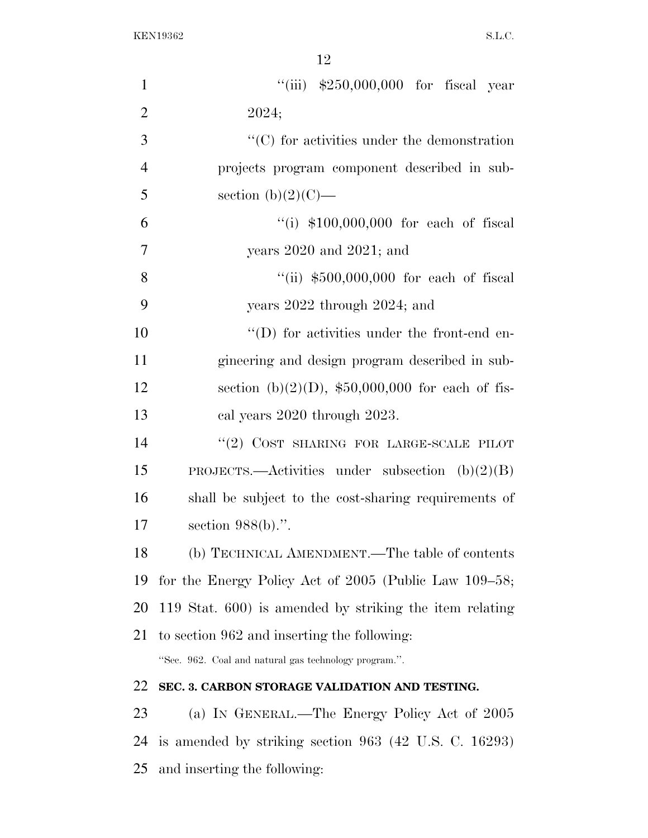| $\mathbf{1}$   | "(iii) $$250,000,000$ for fiscal year                      |
|----------------|------------------------------------------------------------|
| $\overline{2}$ | 2024;                                                      |
| 3              | $\lq\lq$ (C) for activities under the demonstration        |
| $\overline{4}$ | projects program component described in sub-               |
| 5              | section $(b)(2)(C)$ —                                      |
| 6              | "(i) $$100,000,000$ for each of fiscal                     |
| $\overline{7}$ | years $2020$ and $2021$ ; and                              |
| 8              | "(ii) $$500,000,000$ for each of fiscal                    |
| 9              | years 2022 through 2024; and                               |
| 10             | "(D) for activities under the front-end en-                |
| 11             | gineering and design program described in sub-             |
| 12             | section (b) $(2)(D)$ , \$50,000,000 for each of fis-       |
| 13             | cal years 2020 through 2023.                               |
| 14             | "(2) COST SHARING FOR LARGE-SCALE PILOT                    |
| 15             | PROJECTS.—Activities under subsection $(b)(2)(B)$          |
| 16             | shall be subject to the cost-sharing requirements of       |
| 17             | section $988(b)$ .".                                       |
| 18             | (b) TECHNICAL AMENDMENT.—The table of contents             |
| 19             | for the Energy Policy Act of $2005$ (Public Law $109-58$ ; |
| 20             | 119 Stat. 600) is amended by striking the item relating    |
| 21             | to section 962 and inserting the following:                |
|                | "Sec. 962. Coal and natural gas technology program.".      |
| 22             | SEC. 3. CARBON STORAGE VALIDATION AND TESTING.             |
| 23             | (a) IN GENERAL.—The Energy Policy Act of 2005              |
| 24             | is amended by striking section $963$ (42 U.S. C. 16293)    |
| 25             | and inserting the following:                               |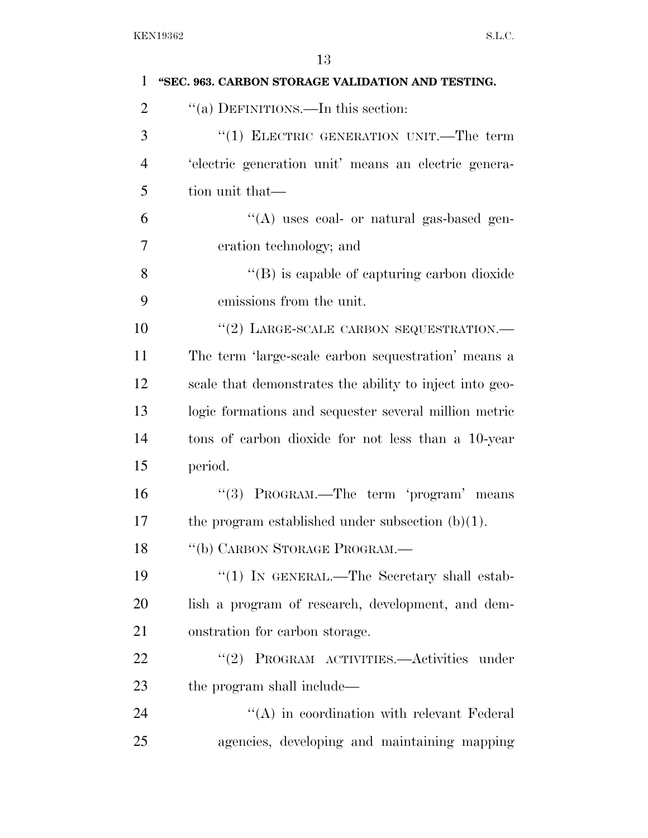| 1              | "SEC. 963. CARBON STORAGE VALIDATION AND TESTING.       |
|----------------|---------------------------------------------------------|
| $\overline{2}$ | "(a) DEFINITIONS.—In this section:                      |
| 3              | "(1) ELECTRIC GENERATION UNIT.—The term                 |
| $\overline{4}$ | 'electric generation unit' means an electric genera-    |
| 5              | tion unit that—                                         |
| 6              | "(A) uses coal- or natural gas-based gen-               |
| 7              | eration technology; and                                 |
| 8              | $\lq\lq$ is capable of capturing carbon dioxide         |
| 9              | emissions from the unit.                                |
| 10             | "(2) LARGE-SCALE CARBON SEQUESTRATION.-                 |
| 11             | The term 'large-scale carbon sequestration' means a     |
| 12             | scale that demonstrates the ability to inject into geo- |
| 13             | logic formations and sequester several million metric   |
| 14             | tons of carbon dioxide for not less than a 10-year      |
| 15             | period.                                                 |
| 16             | "(3) PROGRAM.—The term 'program' means                  |
| 17             | the program established under subsection $(b)(1)$ .     |
| 18             | "(b) CARBON STORAGE PROGRAM.-                           |
| 19             | "(1) IN GENERAL.—The Secretary shall estab-             |
| 20             | lish a program of research, development, and dem-       |
| 21             | onstration for carbon storage.                          |
| 22             | "(2) PROGRAM ACTIVITIES.—Activities under               |
| 23             | the program shall include—                              |
| 24             | $\lq\lq$ in coordination with relevant Federal          |
| 25             | agencies, developing and maintaining mapping            |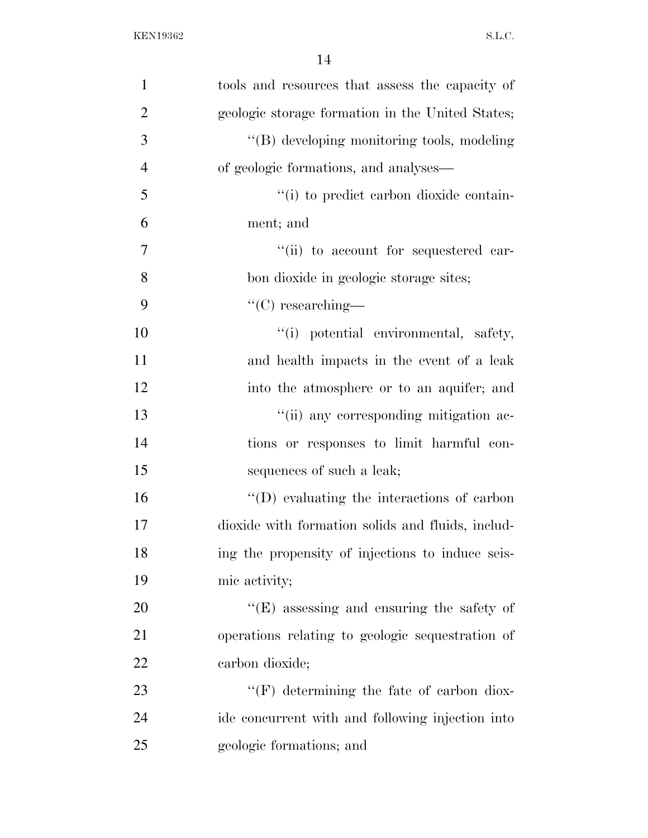| $\mathbf{1}$   | tools and resources that assess the capacity of    |
|----------------|----------------------------------------------------|
| $\overline{2}$ | geologic storage formation in the United States;   |
| 3              | "(B) developing monitoring tools, modeling         |
| $\overline{4}$ | of geologic formations, and analyses—              |
| 5              | "(i) to predict carbon dioxide contain-            |
| 6              | ment; and                                          |
| 7              | "(ii) to account for sequestered car-              |
| 8              | bon dioxide in geologic storage sites;             |
| 9              | $\lq\lq$ researching—                              |
| 10             | "(i) potential environmental, safety,              |
| 11             | and health impacts in the event of a leak          |
| 12             | into the atmosphere or to an aquifer; and          |
| 13             | "(ii) any corresponding mitigation ac-             |
| 14             | tions or responses to limit harmful con-           |
| 15             | sequences of such a leak;                          |
| 16             | $\lq\lq$ (D) evaluating the interactions of carbon |
| 17             | dioxide with formation solids and fluids, includ-  |
| 18             | ing the propensity of injections to induce seis-   |
| 19             | mic activity;                                      |
| 20             | $\lq\lq(E)$ assessing and ensuring the safety of   |
| 21             | operations relating to geologic sequestration of   |
| 22             | carbon dioxide;                                    |
| 23             | $``(F)$ determining the fate of carbon diox-       |
| 24             | ide concurrent with and following injection into   |
| 25             | geologic formations; and                           |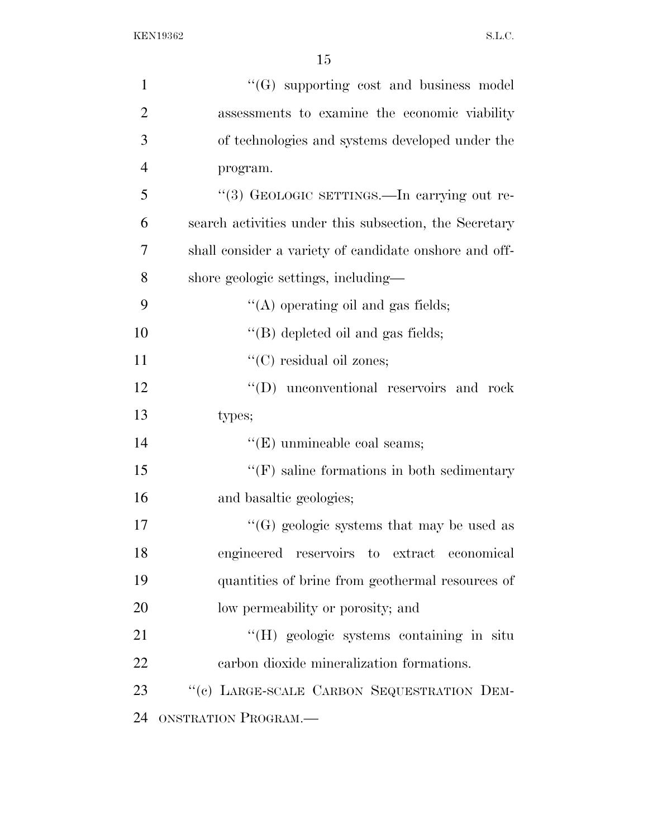| $\mathbf{1}$   | $\lq\lq(G)$ supporting cost and business model         |
|----------------|--------------------------------------------------------|
| $\overline{2}$ | assessments to examine the economic viability          |
| 3              | of technologies and systems developed under the        |
| $\overline{4}$ | program.                                               |
| 5              | "(3) GEOLOGIC SETTINGS.—In carrying out re-            |
| 6              | search activities under this subsection, the Secretary |
| 7              | shall consider a variety of candidate onshore and off- |
| 8              | shore geologic settings, including-                    |
| 9              | $\lq\lq$ operating oil and gas fields;                 |
| 10             | "(B) depleted oil and gas fields;                      |
| 11             | "(C) residual oil zones;                               |
| 12             | $\lq\lq (D)$<br>unconventional reservoirs and rock     |
| 13             | types;                                                 |
| 14             | $\lq\lq$ (E) unmineable coal seams;                    |
| 15             | $\lq\lq(F)$ saline formations in both sedimentary      |
| 16             | and basaltic geologies;                                |
| 17             | "(G) geologic systems that may be used as              |
| 18             | engineered reservoirs to extract economical            |
| 19             | quantities of brine from geothermal resources of       |
| 20             | low permeability or porosity; and                      |
| 21             | "(H) geologic systems containing in situ               |
| 22             | carbon dioxide mineralization formations.              |
| 23             | "(c) LARGE-SCALE CARBON SEQUESTRATION DEM-             |
| 24             | ONSTRATION PROGRAM.                                    |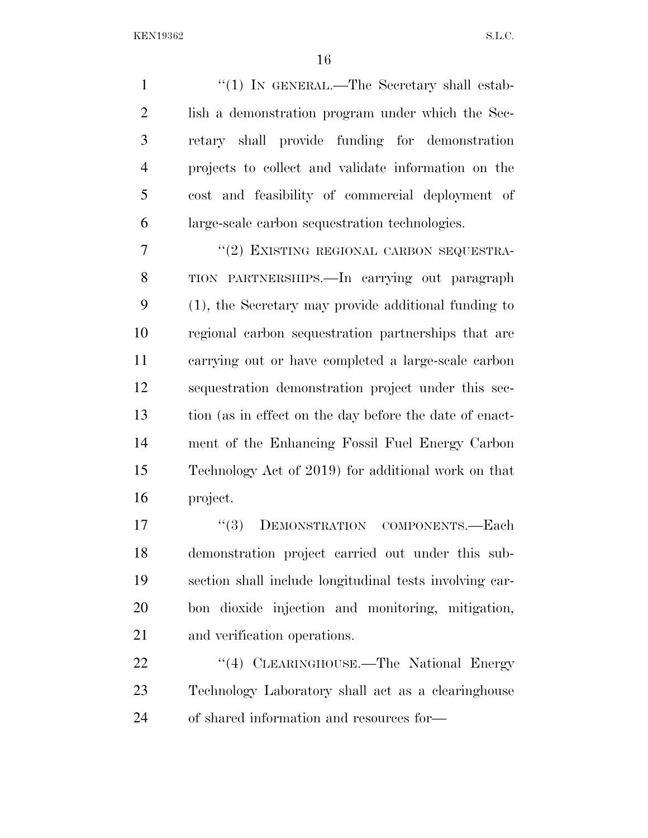1 "(1) IN GENERAL.—The Secretary shall estab-2 lish a demonstration program under which the Sec- retary shall provide funding for demonstration projects to collect and validate information on the cost and feasibility of commercial deployment of large-scale carbon sequestration technologies.

7 "(2) EXISTING REGIONAL CARBON SEQUESTRA- TION PARTNERSHIPS.—In carrying out paragraph (1), the Secretary may provide additional funding to regional carbon sequestration partnerships that are carrying out or have completed a large-scale carbon sequestration demonstration project under this sec- tion (as in effect on the day before the date of enact- ment of the Enhancing Fossil Fuel Energy Carbon Technology Act of 2019) for additional work on that project.

17 <sup>''</sup>(3) DEMONSTRATION COMPONENTS.—Each demonstration project carried out under this sub- section shall include longitudinal tests involving car- bon dioxide injection and monitoring, mitigation, and verification operations.

22 "(4) CLEARINGHOUSE.—The National Energy Technology Laboratory shall act as a clearinghouse of shared information and resources for—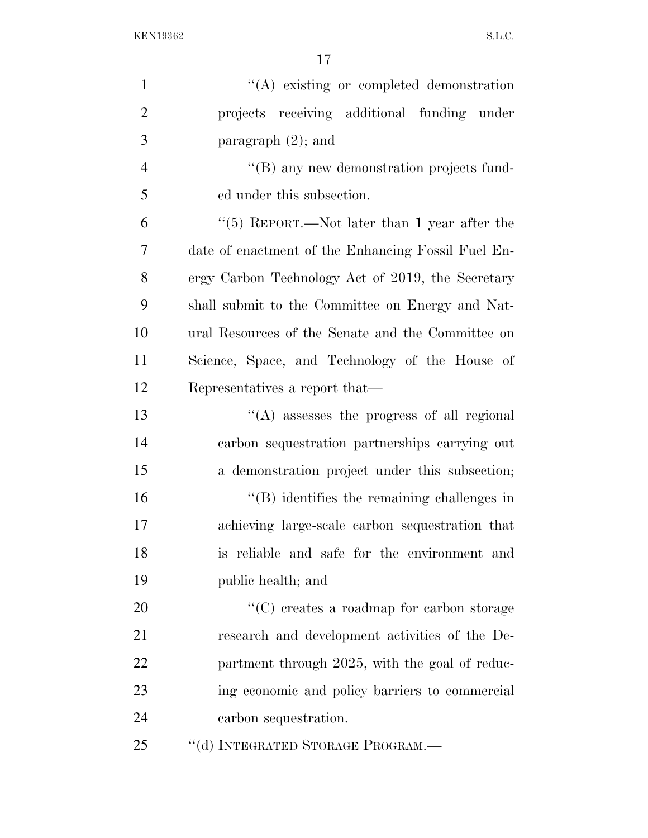| $\mathbf{1}$   | $\lq\lq$ existing or completed demonstration       |
|----------------|----------------------------------------------------|
| $\overline{2}$ | projects receiving additional funding under        |
| 3              | paragraph $(2)$ ; and                              |
| $\overline{4}$ | "(B) any new demonstration projects fund-          |
| 5              | ed under this subsection.                          |
| 6              | " $(5)$ REPORT.—Not later than 1 year after the    |
| 7              | date of enactment of the Enhancing Fossil Fuel En- |
| 8              | ergy Carbon Technology Act of 2019, the Secretary  |
| 9              | shall submit to the Committee on Energy and Nat-   |
| 10             | ural Resources of the Senate and the Committee on  |
| 11             | Science, Space, and Technology of the House of     |
| 12             | Representatives a report that—                     |
| 13             | "(A) assesses the progress of all regional         |
| 14             | carbon sequestration partnerships carrying out     |
| 15             | a demonstration project under this subsection;     |
| 16             | $\lq\lq$ ) identifies the remaining challenges in  |
| 17             | achieving large-scale carbon sequestration that    |
| 18             | is reliable and safe for the environment and       |
| 19             | public health; and                                 |
| 20             | $\lq\lq$ creates a roadmap for carbon storage      |
| 21             | research and development activities of the De-     |
| 22             | partment through 2025, with the goal of reduc-     |
| 23             | ing economic and policy barriers to commercial     |
| 24             | carbon sequestration.                              |
| 25             | "(d) INTEGRATED STORAGE PROGRAM.—                  |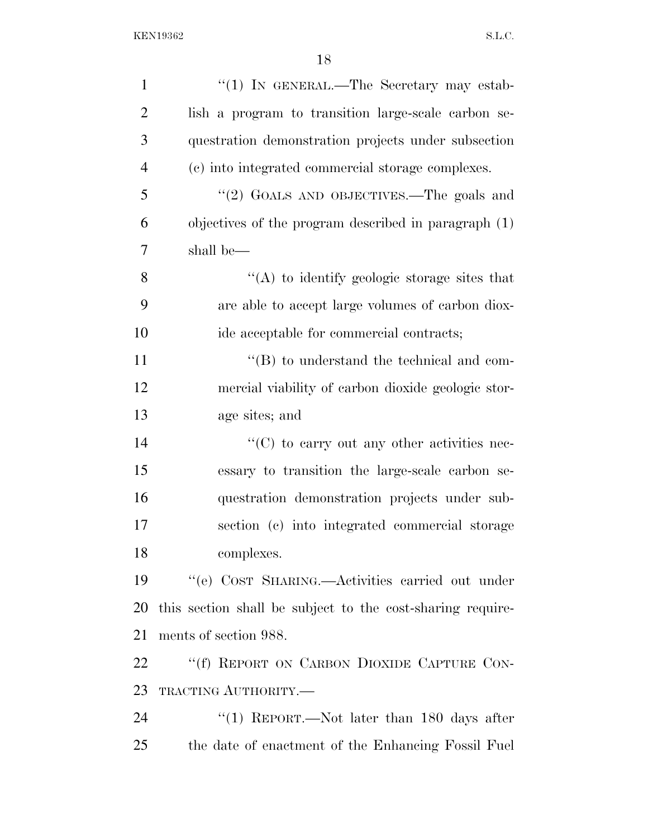| $\mathbf{1}$   | "(1) IN GENERAL.—The Secretary may estab-                  |
|----------------|------------------------------------------------------------|
| $\overline{2}$ | lish a program to transition large-scale carbon se-        |
| 3              | questration demonstration projects under subsection        |
| $\overline{4}$ | (c) into integrated commercial storage complexes.          |
| 5              | "(2) GOALS AND OBJECTIVES.—The goals and                   |
| 6              | objectives of the program described in paragraph $(1)$     |
| 7              | shall be—                                                  |
| 8              | "(A) to identify geologic storage sites that               |
| 9              | are able to accept large volumes of carbon diox-           |
| 10             | ide acceptable for commercial contracts;                   |
| 11             | $\lq\lq (B)$ to understand the technical and com-          |
| 12             | mercial viability of carbon dioxide geologic stor-         |
| 13             | age sites; and                                             |
| 14             | $\lq\lq$ (C) to carry out any other activities nec-        |
| 15             | essary to transition the large-scale carbon se-            |
| 16             | questration demonstration projects under sub-              |
| 17             | section (c) into integrated commercial storage             |
| 18             | complexes.                                                 |
| 19             | "(e) COST SHARING.—Activities carried out under            |
| 20             | this section shall be subject to the cost-sharing require- |
| 21             | ments of section 988.                                      |
| 22             | "(f) REPORT ON CARBON DIOXIDE CAPTURE CON-                 |
| 23             | TRACTING AUTHORITY.-                                       |
| 24             | "(1) REPORT.—Not later than $180$ days after               |
| 25             | the date of enactment of the Enhancing Fossil Fuel         |
|                |                                                            |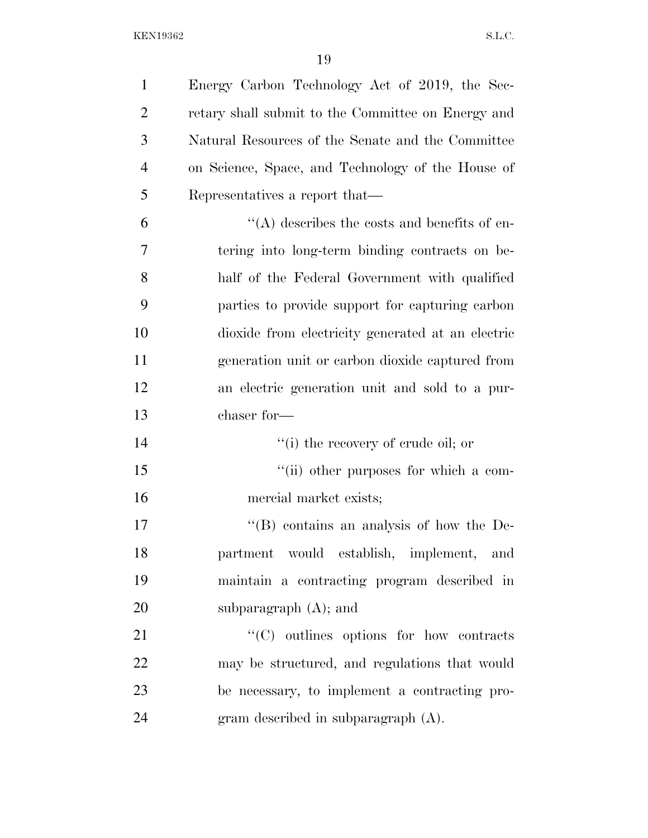| $\mathbf{1}$   | Energy Carbon Technology Act of 2019, the Sec-     |
|----------------|----------------------------------------------------|
| $\overline{2}$ | retary shall submit to the Committee on Energy and |
| 3              | Natural Resources of the Senate and the Committee  |
| $\overline{4}$ | on Science, Space, and Technology of the House of  |
| 5              | Representatives a report that—                     |
| 6              | $\lq\lq$ describes the costs and benefits of en-   |
| 7              | tering into long-term binding contracts on be-     |
| 8              | half of the Federal Government with qualified      |
| 9              | parties to provide support for capturing carbon    |
| 10             | dioxide from electricity generated at an electric  |
| 11             | generation unit or carbon dioxide captured from    |
| 12             | an electric generation unit and sold to a pur-     |
| 13             | chaser for-                                        |
| 14             | "(i) the recovery of crude oil; or                 |
| 15             | "(ii) other purposes for which a com-              |
| 16             | mercial market exists;                             |
| 17             | $\cdot$ (B) contains an analysis of how the De-    |
| 18             | partment would establish, implement, and           |
| 19             | maintain a contracting program described in        |
| 20             | subparagraph $(A)$ ; and                           |
| 21             | $\cdot$ (C) outlines options for how contracts     |
| 22             | may be structured, and regulations that would      |
| 23             | be necessary, to implement a contracting pro-      |
| 24             | gram described in subparagraph (A).                |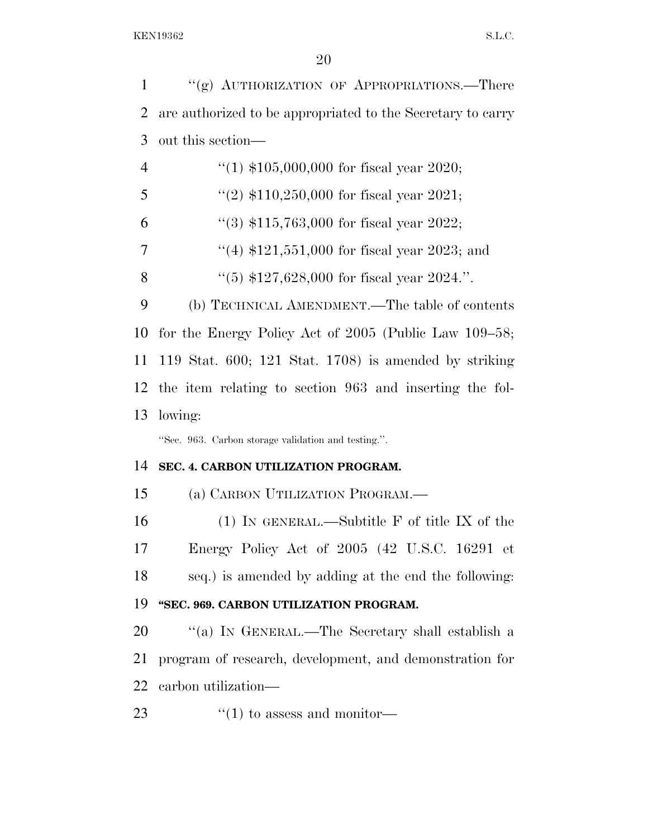1 "(g) AUTHORIZATION OF APPROPRIATIONS.—There

 are authorized to be appropriated to the Secretary to carry out this section—  $\frac{4}{1}$   $\frac{105,000,000}{100,000}$  for fiscal year 2020;  $\frac{((2) \, \$110,250,000 \, \text{for fiscal year } 2021;}{}$  $\frac{4}{3}$  \$115,763,000 for fiscal year 2022;  $\frac{1}{4}$  \$121,551,000 for fiscal year 2023; and  $\frac{1}{(5)}$  \$127,628,000 for fiscal year 2024.". (b) TECHNICAL AMENDMENT.—The table of contents for the Energy Policy Act of 2005 (Public Law 109–58; 119 Stat. 600; 121 Stat. 1708) is amended by striking the item relating to section 963 and inserting the fol- lowing: ''Sec. 963. Carbon storage validation and testing.''. **SEC. 4. CARBON UTILIZATION PROGRAM.**  (a) CARBON UTILIZATION PROGRAM.— (1) IN GENERAL.—Subtitle F of title IX of the Energy Policy Act of 2005 (42 U.S.C. 16291 et seq.) is amended by adding at the end the following: **''SEC. 969. CARBON UTILIZATION PROGRAM.**  ''(a) IN GENERAL.—The Secretary shall establish a program of research, development, and demonstration for

- carbon utilization—
- 23  $\frac{1}{2}$   $\frac{1}{2}$  to assess and monitor-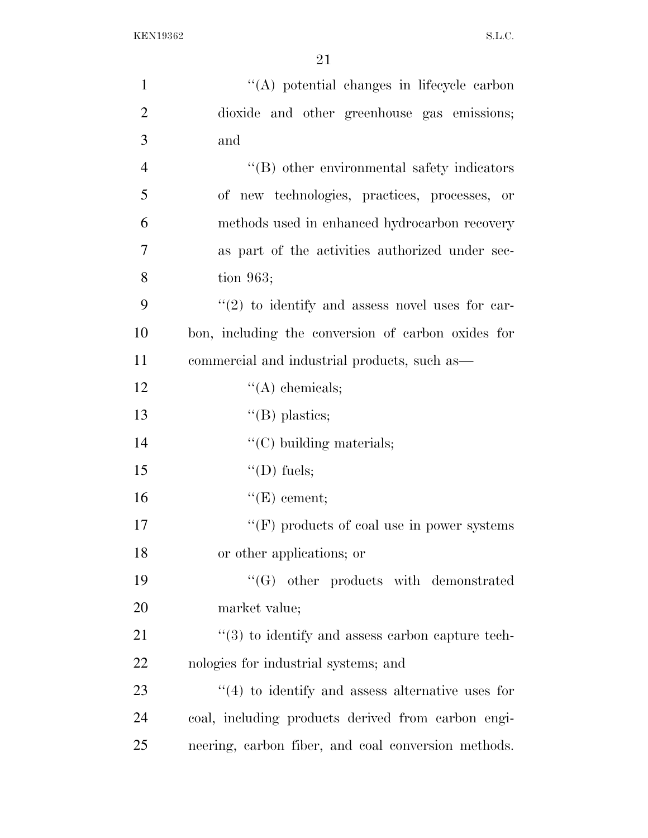| $\mathbf{1}$   | "(A) potential changes in lifecycle carbon                   |
|----------------|--------------------------------------------------------------|
| $\overline{2}$ | dioxide and other greenhouse gas emissions;                  |
| 3              | and                                                          |
| $\overline{4}$ | "(B) other environmental safety indicators                   |
| 5              | of new technologies, practices, processes, or                |
| 6              | methods used in enhanced hydrocarbon recovery                |
| $\overline{7}$ | as part of the activities authorized under sec-              |
| 8              | tion $963;$                                                  |
| 9              | $\lq(2)$ to identify and assess novel uses for car-          |
| 10             | bon, including the conversion of carbon oxides for           |
| 11             | commercial and industrial products, such as—                 |
| 12             | $\lq\lq$ chemicals;                                          |
| 13             | $\lq\lq$ (B) plastics;                                       |
| 14             | $"$ (C) building materials;                                  |
| 15             | $\lq\lq$ (D) fuels;                                          |
| 16             | $\lq\lq(E)$ cement;                                          |
| 17             | "(F) products of coal use in power systems"                  |
| 18             | or other applications; or                                    |
| 19             | $\lq\lq(G)$ other products with demonstrated                 |
| 20             | market value;                                                |
| 21             | $\cdot\cdot$ (3) to identify and assess carbon capture tech- |
| 22             | nologies for industrial systems; and                         |
| 23             | $\cdot$ (4) to identify and assess alternative uses for      |
| 24             | coal, including products derived from carbon engi-           |
| 25             | neering, carbon fiber, and coal conversion methods.          |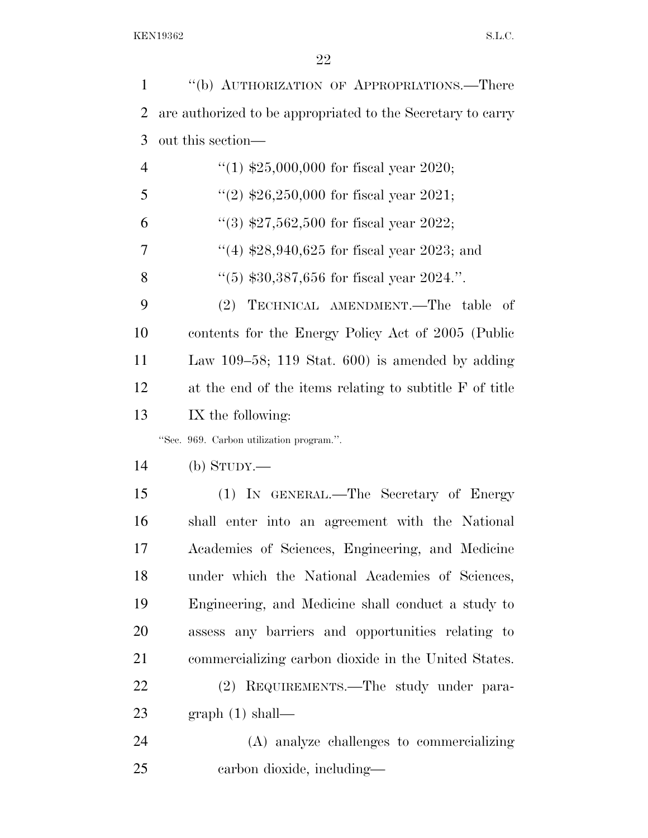''(b) AUTHORIZATION OF APPROPRIATIONS.—There are authorized to be appropriated to the Secretary to carry out this section—  $\frac{4}{1}$   $\frac{$25,000,000}{1}$  for fiscal year 2020;  $\frac{1}{2}$   $\frac{1}{26,250,000}$  for fiscal year 2021;  $\frac{1}{2}$  (3) \$27,562,500 for fiscal year 2022; ''(4) \$28,940,625 for fiscal year 2023; and  $\frac{4}{5}$   $\frac{4}{5}$   $\frac{30,387,656}{56}$  for fiscal year 2024.". (2) TECHNICAL AMENDMENT.—The table of contents for the Energy Policy Act of 2005 (Public Law 109–58; 119 Stat. 600) is amended by adding at the end of the items relating to subtitle F of title IX the following: ''Sec. 969. Carbon utilization program.''. (b) STUDY.— (1) IN GENERAL.—The Secretary of Energy shall enter into an agreement with the National Academies of Sciences, Engineering, and Medicine under which the National Academies of Sciences, Engineering, and Medicine shall conduct a study to assess any barriers and opportunities relating to commercializing carbon dioxide in the United States. (2) REQUIREMENTS.—The study under para- graph (1) shall— (A) analyze challenges to commercializing

carbon dioxide, including—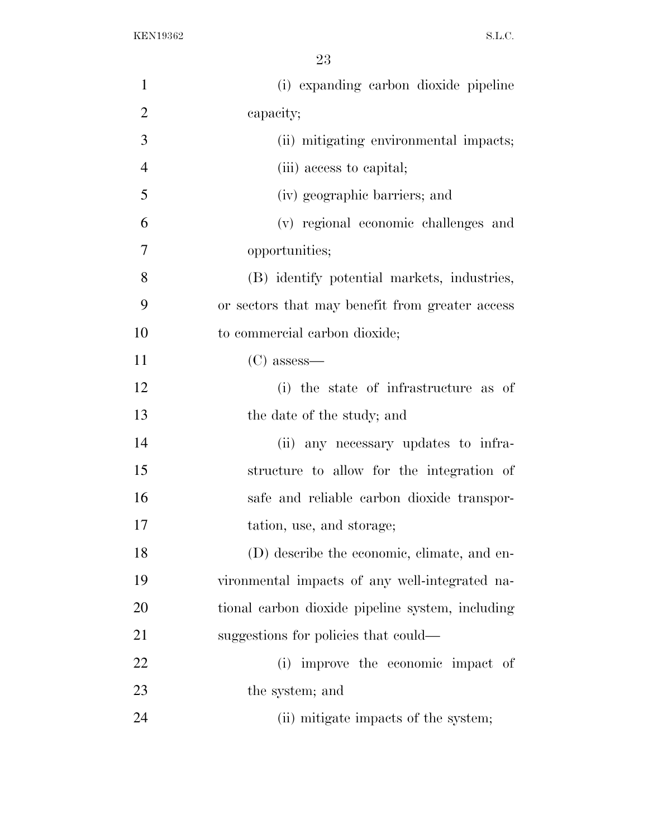| $\mathbf{1}$   | (i) expanding carbon dioxide pipeline            |
|----------------|--------------------------------------------------|
| $\overline{2}$ | capacity;                                        |
| 3              | (ii) mitigating environmental impacts;           |
| $\overline{4}$ | (iii) access to capital;                         |
| 5              | (iv) geographic barriers; and                    |
| 6              | (v) regional economic challenges and             |
| $\overline{7}$ | opportunities;                                   |
| 8              | (B) identify potential markets, industries,      |
| 9              | or sectors that may be nefit from greater access |
| 10             | to commercial carbon dioxide;                    |
| 11             | $(C)$ assess—                                    |
| 12             | (i) the state of infrastructure as of            |
| 13             | the date of the study; and                       |
| 14             | (ii) any necessary updates to infra-             |
| 15             | structure to allow for the integration of        |
| 16             | safe and reliable carbon dioxide transpor-       |
| 17             | tation, use, and storage;                        |
| 18             | (D) describe the economic, climate, and en-      |
| 19             | vironmental impacts of any well-integrated na-   |
| 20             | tional carbon dioxide pipeline system, including |
| 21             | suggestions for policies that could—             |
| 22             | improve the economic impact of<br>(i)            |
| 23             | the system; and                                  |
| 24             | (ii) mitigate impacts of the system;             |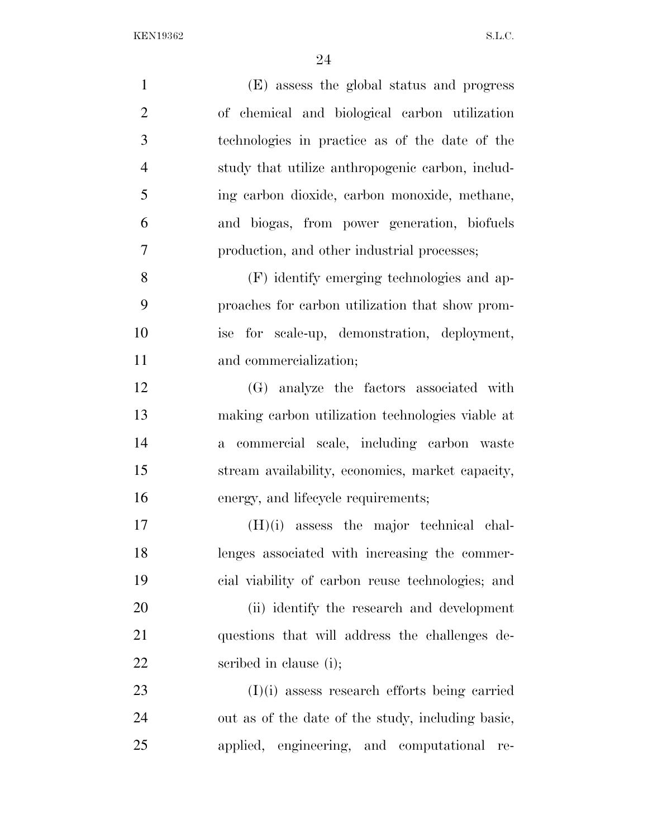| $\mathbf{1}$   | (E) assess the global status and progress                |
|----------------|----------------------------------------------------------|
| $\overline{2}$ | of chemical and biological carbon utilization            |
| 3              | technologies in practice as of the date of the           |
| $\overline{4}$ | study that utilize anthropogenic carbon, includ-         |
| 5              | ing carbon dioxide, carbon monoxide, methane,            |
| 6              | and biogas, from power generation, biofuels              |
| 7              | production, and other industrial processes;              |
| 8              | (F) identify emerging technologies and ap-               |
| 9              | proaches for carbon utilization that show prom-          |
| 10             | ise for scale-up, demonstration, deployment,             |
| 11             | and commercialization;                                   |
| 12             | (G) analyze the factors associated with                  |
| 13             | making carbon utilization technologies viable at         |
| 14             | commercial scale, including carbon waste<br>$\mathbf{a}$ |
| 15             | stream availability, economics, market capacity,         |
| 16             | energy, and lifecycle requirements;                      |
| 17             | $(H)(i)$ assess the major technical chal-                |
| 18             | lenges associated with increasing the commer-            |
| 19             | cial viability of carbon reuse technologies; and         |
| 20             | (ii) identify the research and development               |
| 21             | questions that will address the challenges de-           |
| 22             | scribed in clause (i);                                   |
| 23             | $(I)(i)$ assess research efforts being carried           |
| 24             | out as of the date of the study, including basic,        |
| 25             | applied, engineering, and computational<br>re-           |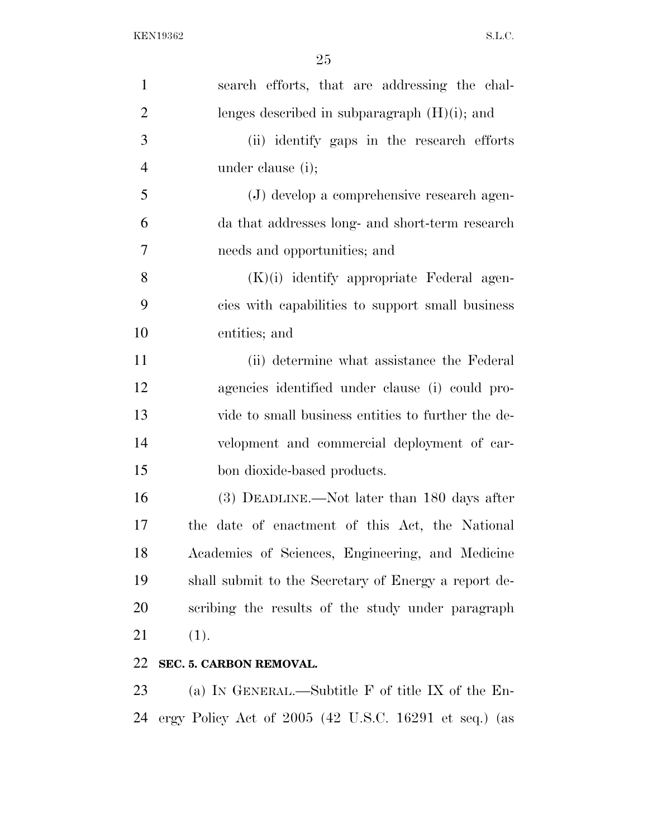| $\mathbf{1}$   | search efforts, that are addressing the chal-        |
|----------------|------------------------------------------------------|
| $\overline{2}$ | lenges described in subparagraph $(H)(i)$ ; and      |
| 3              | (ii) identify gaps in the research efforts           |
| $\overline{4}$ | under clause (i);                                    |
| 5              | (J) develop a comprehensive research agen-           |
| 6              | da that addresses long- and short-term research      |
| 7              | needs and opportunities; and                         |
| 8              | $(K)(i)$ identify appropriate Federal agen-          |
| 9              | cies with capabilities to support small business     |
| 10             | entities; and                                        |
| 11             | (ii) determine what assistance the Federal           |
| 12             | agencies identified under clause (i) could pro-      |
| 13             | vide to small business entities to further the de-   |
| 14             | velopment and commercial deployment of car-          |
| 15             | bon dioxide-based products.                          |
| 16             | (3) DEADLINE.—Not later than 180 days after          |
| 17             | the date of enactment of this Act, the National      |
| 18             | Academies of Sciences, Engineering, and Medicine     |
| 19             | shall submit to the Secretary of Energy a report de- |
| 20             | scribing the results of the study under paragraph    |
| 21             | (1).                                                 |
| 22             | SEC. 5. CARBON REMOVAL.                              |
| 23             | (a) IN GENERAL.—Subtitle $F$ of title IX of the En-  |
|                |                                                      |

ergy Policy Act of 2005 (42 U.S.C. 16291 et seq.) (as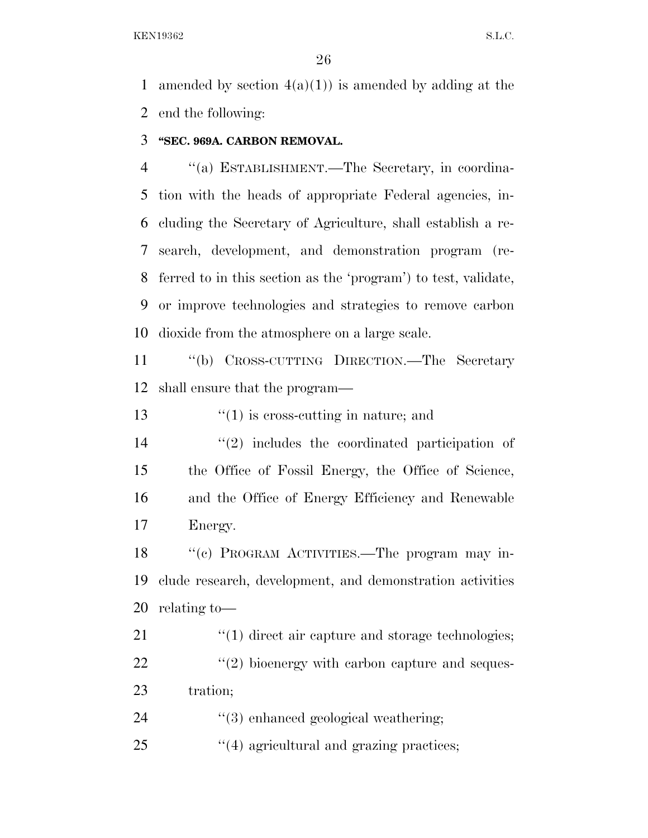1 amended by section  $4(a)(1)$  is amended by adding at the end the following:

## **''SEC. 969A. CARBON REMOVAL.**

 ''(a) ESTABLISHMENT.—The Secretary, in coordina- tion with the heads of appropriate Federal agencies, in- cluding the Secretary of Agriculture, shall establish a re- search, development, and demonstration program (re- ferred to in this section as the 'program') to test, validate, or improve technologies and strategies to remove carbon dioxide from the atmosphere on a large scale.

 ''(b) CROSS-CUTTING DIRECTION.—The Secretary shall ensure that the program—

13  $\frac{1}{2}$  (1) is cross-cutting in nature; and

 $(2)$  includes the coordinated participation of the Office of Fossil Energy, the Office of Science, and the Office of Energy Efficiency and Renewable Energy.

18 "(c) PROGRAM ACTIVITIES.—The program may in- clude research, development, and demonstration activities relating to—

21  $\frac{1}{2}$  (1) direct air capture and storage technologies;  $\frac{1}{22}$  ''(2) bioenergy with carbon capture and seques-tration;

24  $\frac{1}{3}$  enhanced geological weathering;

25  $\frac{1}{4}$  agricultural and grazing practices;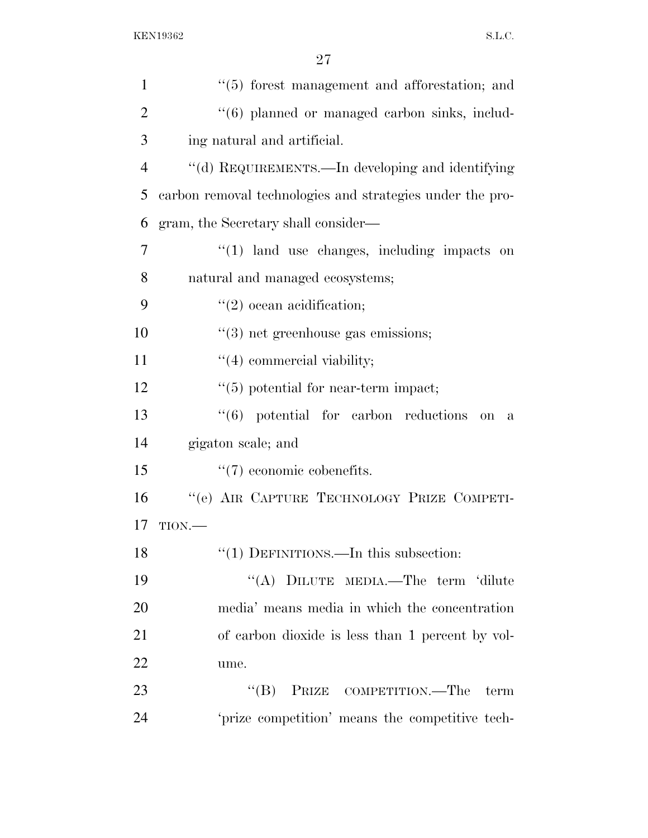| $\mathbf{1}$   | $\cdot\cdot$ (5) forest management and afforestation; and          |
|----------------|--------------------------------------------------------------------|
| $\overline{2}$ | "(6) planned or managed carbon sinks, includ-                      |
| 3              | ing natural and artificial.                                        |
| $\overline{4}$ | "(d) REQUIREMENTS.—In developing and identifying                   |
| 5              | carbon removal technologies and strategies under the pro-          |
| 6              | gram, the Secretary shall consider—                                |
| 7              | $\lq(1)$ land use changes, including impacts on                    |
| 8              | natural and managed ecosystems;                                    |
| 9              | $\lq(2)$ ocean acidification;                                      |
| 10             | $\lq(3)$ net greenhouse gas emissions;                             |
| 11             | $\lq(4)$ commercial viability;                                     |
| 12             | $"(5)$ potential for near-term impact;                             |
| 13             | $(6)$ potential for carbon reductions<br><b>on</b><br>$\mathbf{a}$ |
| 14             | gigaton scale; and                                                 |
| 15             | $\lq(7)$ economic cobenefits.                                      |
| 16             | "(e) AIR CAPTURE TECHNOLOGY PRIZE COMPETI-                         |
| 17             | TION.                                                              |
| 18             | " $(1)$ DEFINITIONS.—In this subsection:                           |
| 19             | "(A) DILUTE MEDIA.—The term 'dilute                                |
| 20             | media' means media in which the concentration                      |
| 21             | of carbon dioxide is less than 1 percent by vol-                   |
| 22             | ume.                                                               |
| 23             | "(B) PRIZE COMPETITION.—The<br>term                                |
| 24             | 'prize competition' means the competitive tech-                    |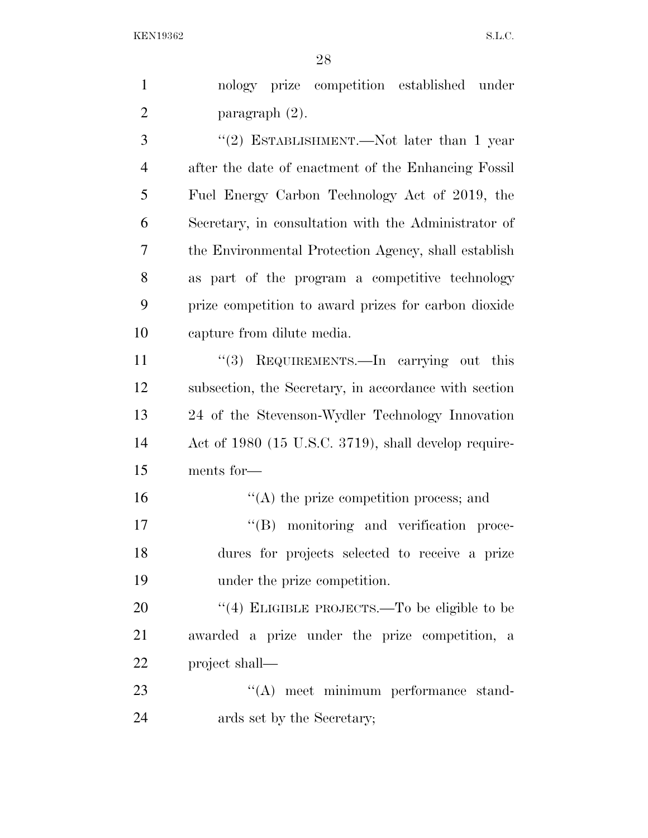nology prize competition established under paragraph (2). 3 "(2) ESTABLISHMENT.—Not later than 1 year

 after the date of enactment of the Enhancing Fossil Fuel Energy Carbon Technology Act of 2019, the Secretary, in consultation with the Administrator of the Environmental Protection Agency, shall establish as part of the program a competitive technology prize competition to award prizes for carbon dioxide capture from dilute media.

11 ''(3) REQUIREMENTS.—In carrying out this subsection, the Secretary, in accordance with section 24 of the Stevenson-Wydler Technology Innovation Act of 1980 (15 U.S.C. 3719), shall develop require-ments for—

 $\langle \text{A} \rangle$  the prize competition process; and  $''(B)$  monitoring and verification proce- dures for projects selected to receive a prize under the prize competition.

20 "(4) ELIGIBLE PROJECTS.—To be eligible to be awarded a prize under the prize competition, a project shall—

23 ''(A) meet minimum performance stand-ards set by the Secretary;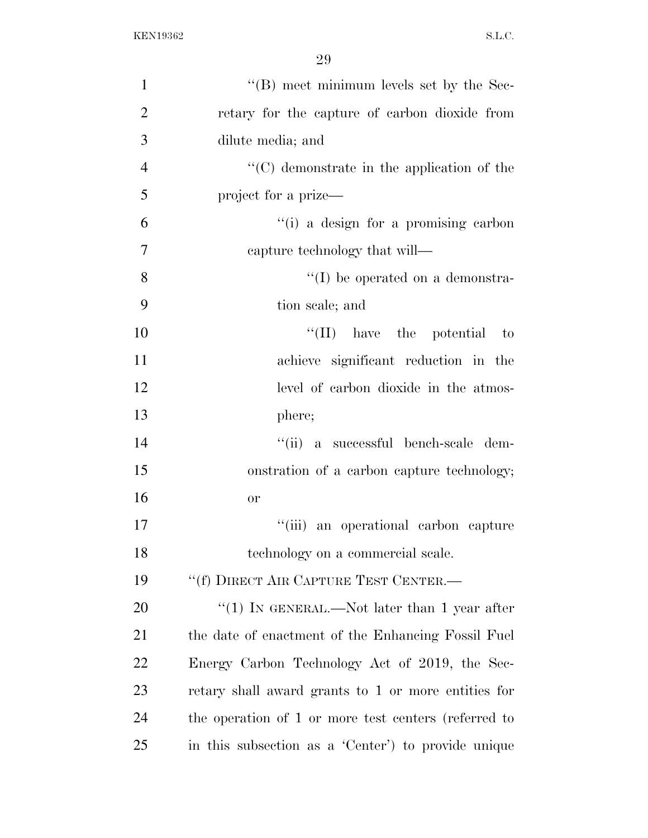| $\mathbf{1}$   | "(B) meet minimum levels set by the Sec-             |
|----------------|------------------------------------------------------|
| $\overline{2}$ | retary for the capture of carbon dioxide from        |
| 3              | dilute media; and                                    |
| $\overline{4}$ | $\cdot$ (C) demonstrate in the application of the    |
| 5              | project for a prize—                                 |
| 6              | "(i) a design for a promising carbon                 |
| $\tau$         | capture technology that will—                        |
| 8              | $\lq\lq$ be operated on a demonstra-                 |
| 9              | tion scale; and                                      |
| 10             | $\lq\lq$ (II) have the potential to                  |
| 11             | achieve significant reduction in the                 |
| 12             | level of carbon dioxide in the atmos-                |
| 13             | phere;                                               |
| 14             | "(ii) a successful bench-scale dem-                  |
| 15             | onstration of a carbon capture technology;           |
| 16             | <b>or</b>                                            |
| 17             | "(iii) an operational carbon capture                 |
| 18             | technology on a commercial scale.                    |
| 19             | "(f) DIRECT AIR CAPTURE TEST CENTER.-                |
| 20             | "(1) IN GENERAL.—Not later than 1 year after         |
| 21             | the date of enactment of the Enhancing Fossil Fuel   |
| 22             | Energy Carbon Technology Act of 2019, the Sec-       |
| 23             | retary shall award grants to 1 or more entities for  |
| 24             | the operation of 1 or more test centers (referred to |
| 25             | in this subsection as a 'Center' to provide unique   |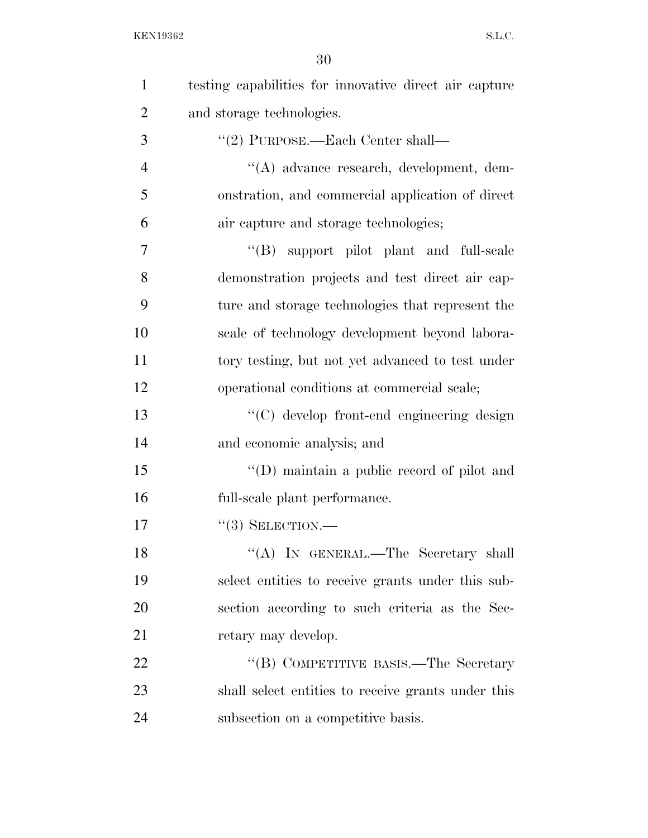| $\mathbf{1}$   | testing capabilities for innovative direct air capture |
|----------------|--------------------------------------------------------|
| $\overline{2}$ | and storage technologies.                              |
| 3              | $"(2)$ PURPOSE.—Each Center shall—                     |
| $\overline{4}$ | "(A) advance research, development, dem-               |
| 5              | onstration, and commercial application of direct       |
| 6              | air capture and storage technologies;                  |
| 7              | "(B) support pilot plant and full-scale                |
| 8              | demonstration projects and test direct air cap-        |
| 9              | ture and storage technologies that represent the       |
| 10             | scale of technology development beyond labora-         |
| 11             | tory testing, but not yet advanced to test under       |
| 12             | operational conditions at commercial scale;            |
| 13             | "(C) develop front-end engineering design              |
| 14             | and economic analysis; and                             |
| 15             | "(D) maintain a public record of pilot and             |
| 16             | full-scale plant performance.                          |
| 17             | $``(3)$ SELECTION.—                                    |
| 18             | "(A) IN GENERAL.—The Secretary shall                   |
| 19             | select entities to receive grants under this sub-      |
| 20             | section according to such criteria as the Sec-         |
| 21             | retary may develop.                                    |
| 22             | "(B) COMPETITIVE BASIS.—The Secretary                  |
| 23             | shall select entities to receive grants under this     |
| 24             | subsection on a competitive basis.                     |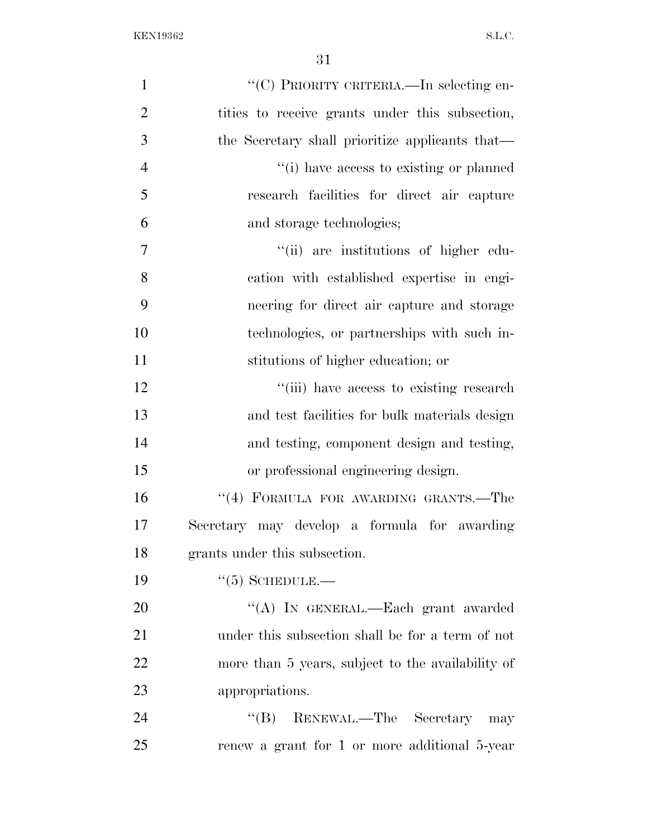| $\mathbf{1}$   | "(C) PRIORITY CRITERIA.—In selecting en-          |
|----------------|---------------------------------------------------|
| $\overline{2}$ | tities to receive grants under this subsection,   |
| 3              | the Secretary shall prioritize applicants that—   |
| $\overline{4}$ | "(i) have access to existing or planned           |
| 5              | research facilities for direct air capture        |
| 6              | and storage technologies;                         |
| $\overline{7}$ | "(ii) are institutions of higher edu-             |
| 8              | cation with established expertise in engi-        |
| 9              | neering for direct air capture and storage        |
| 10             | technologies, or partnerships with such in-       |
| 11             | stitutions of higher education; or                |
| 12             | "(iii) have access to existing research           |
| 13             | and test facilities for bulk materials design     |
| 14             | and testing, component design and testing,        |
| 15             | or professional engineering design.               |
| 16             | "(4) FORMULA FOR AWARDING GRANTS.-The             |
| 17             | Secretary may develop a formula for awarding      |
| 18             | grants under this subsection.                     |
| 19             | $\cdot\cdot$ (5) SCHEDULE.—                       |
| 20             | "(A) IN GENERAL.—Each grant awarded               |
| 21             | under this subsection shall be for a term of not  |
| 22             | more than 5 years, subject to the availability of |
| 23             | appropriations.                                   |
| 24             | "(B) RENEWAL.—The Secretary may                   |
| 25             | renew a grant for 1 or more additional 5-year     |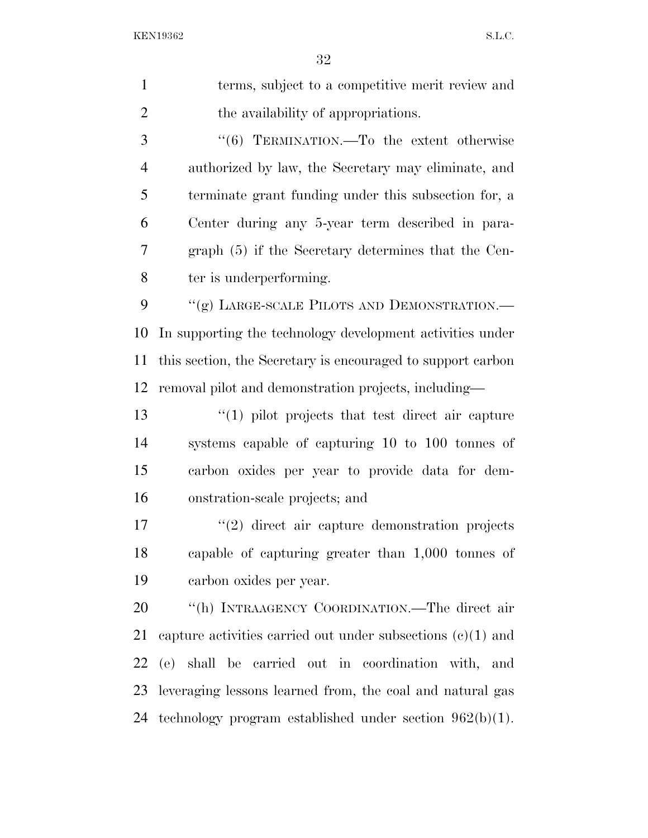| $\mathbf{1}$   | terms, subject to a competitive merit review and              |
|----------------|---------------------------------------------------------------|
| $\overline{2}$ | the availability of appropriations.                           |
| 3              | "(6) TERMINATION.—To the extent otherwise                     |
| $\overline{4}$ | authorized by law, the Secretary may eliminate, and           |
| 5              | terminate grant funding under this subsection for, a          |
| 6              | Center during any 5-year term described in para-              |
| 7              | graph (5) if the Secretary determines that the Cen-           |
| 8              | ter is underperforming.                                       |
| 9              | "(g) LARGE-SCALE PILOTS AND DEMONSTRATION.-                   |
| 10             | In supporting the technology development activities under     |
| 11             | this section, the Secretary is encouraged to support carbon   |
| 12             | removal pilot and demonstration projects, including-          |
| 13             | $\lq(1)$ pilot projects that test direct air capture          |
| 14             | systems capable of capturing 10 to 100 tonnes of              |
| 15             | carbon oxides per year to provide data for dem-               |
| 16             | onstration-scale projects; and                                |
| 17             | $\lq(2)$ direct air capture demonstration projects            |
| 18             | capable of capturing greater than 1,000 tonnes of             |
| 19             | carbon oxides per year.                                       |
| 20             | "(h) INTRAAGENCY COORDINATION.—The direct air                 |
| 21             | capture activities carried out under subsections $(c)(1)$ and |
| 22             | (e) shall be carried out in coordination with, and            |
| 23             | leveraging lessons learned from, the coal and natural gas     |
| 24             | technology program established under section $962(b)(1)$ .    |
|                |                                                               |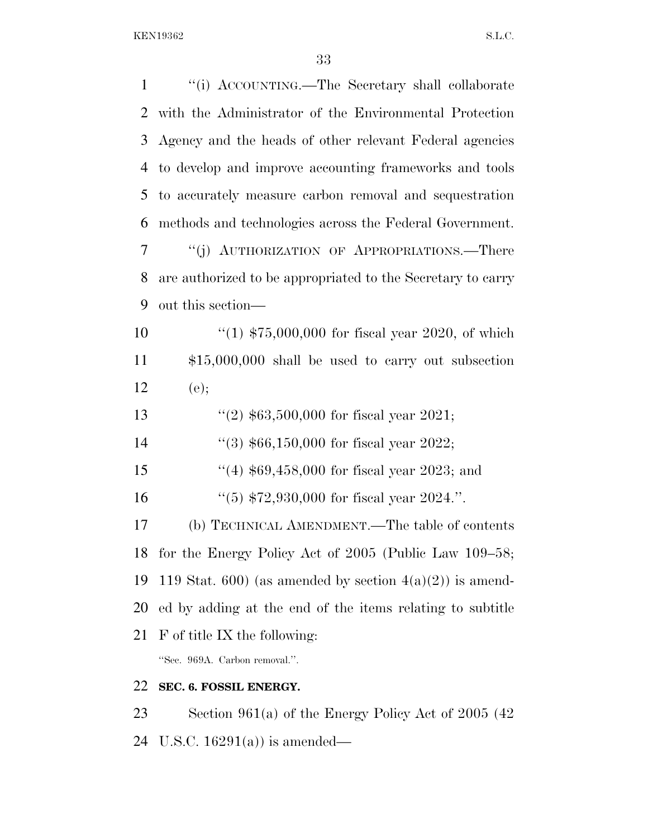| $\mathbf{1}$   | "(i) ACCOUNTING.—The Secretary shall collaborate            |
|----------------|-------------------------------------------------------------|
| 2              | with the Administrator of the Environmental Protection      |
| 3              | Agency and the heads of other relevant Federal agencies     |
| $\overline{4}$ | to develop and improve accounting frameworks and tools      |
| 5              | to accurately measure carbon removal and sequestration      |
| 6              | methods and technologies across the Federal Government.     |
| 7              | "(j) AUTHORIZATION OF APPROPRIATIONS.—There                 |
| 8              | are authorized to be appropriated to the Secretary to carry |
| 9              | out this section—                                           |
| 10             | "(1) $$75,000,000$ for fiscal year 2020, of which           |
| 11             | $$15,000,000$ shall be used to carry out subsection         |
| 12             | (e);                                                        |
| 13             | "(2) $$63,500,000$ for fiscal year 2021;                    |
| 14             | "(3) $$66,150,000$ for fiscal year 2022;                    |
| 15             | $(4)$ \$69,458,000 for fiscal year 2023; and                |
| 16             | "(5) $$72,930,000$ for fiscal year 2024.".                  |
| 17             | (b) TECHNICAL AMENDMENT.—The table of contents              |
| 18             | for the Energy Policy Act of $2005$ (Public Law $109-58$ ;  |
| 19             | 119 Stat. 600) (as amended by section $4(a)(2)$ ) is amend- |
| 20             | ed by adding at the end of the items relating to subtitle   |
| 21             | F of title IX the following:                                |
|                | "Sec. 969A. Carbon removal.".                               |
| 22             | SEC. 6. FOSSIL ENERGY.                                      |
| 23             | Section 961(a) of the Energy Policy Act of 2005 (42)        |
| 24             | U.S.C. $16291(a)$ is amended—                               |